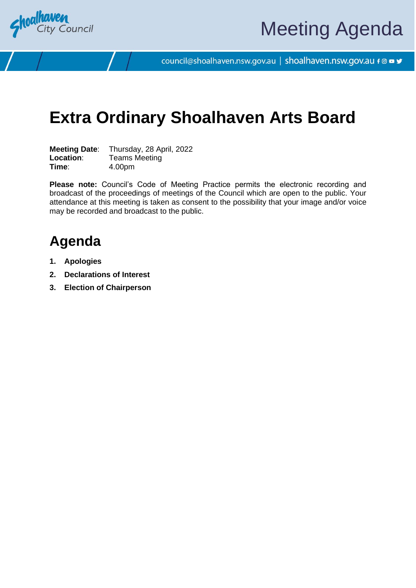

council@shoalhaven.nsw.gov.au | shoalhaven.nsw.gov.au f @ ■ y

# **Extra Ordinary Shoalhaven Arts Board**

**Meeting Date**: Thursday, 28 April, 2022 **Location:** Teams Meeting **Time**: 4.00pm

**Please note:** Council's Code of Meeting Practice permits the electronic recording and broadcast of the proceedings of meetings of the Council which are open to the public. Your attendance at this meeting is taken as consent to the possibility that your image and/or voice may be recorded and broadcast to the public.

# **Agenda**

- **1. Apologies**
- **2. Declarations of Interest**
- **3. Election of Chairperson**